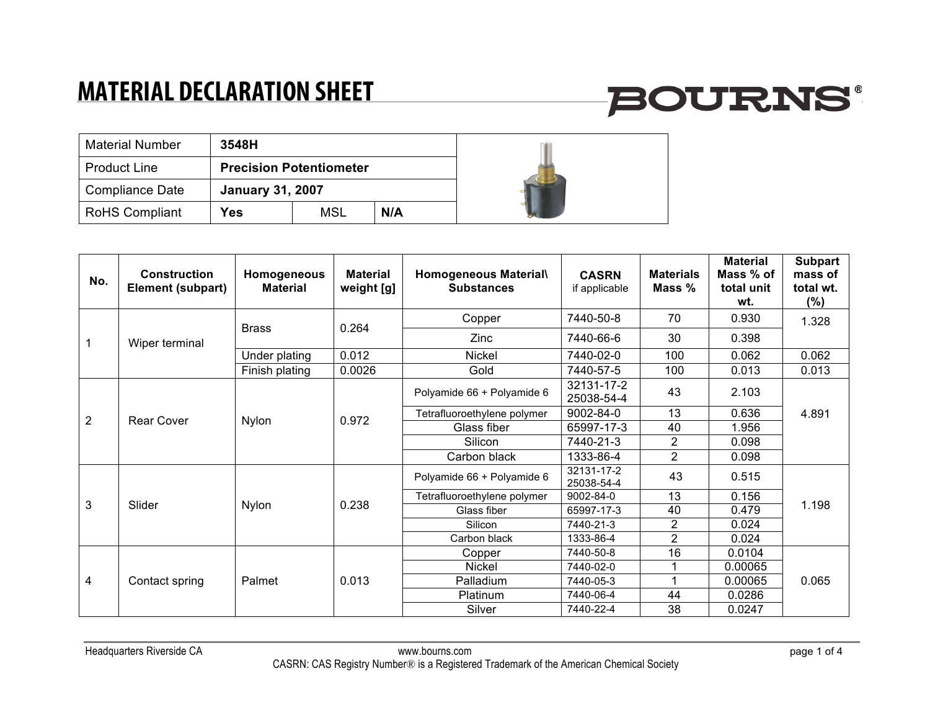# **BOURNS®**

| <b>Material Number</b> | 3548H                          |     |     |  |
|------------------------|--------------------------------|-----|-----|--|
| <b>Product Line</b>    | <b>Precision Potentiometer</b> |     |     |  |
| <b>Compliance Date</b> | <b>January 31, 2007</b>        |     |     |  |
| <b>RoHS Compliant</b>  | <b>Yes</b>                     | MSL | N/A |  |

| No.            | Construction<br><b>Element (subpart)</b> | Homogeneous<br><b>Material</b> | <b>Material</b><br>weight [g] | Homogeneous Material\<br><b>Substances</b> | <b>CASRN</b><br>if applicable | <b>Materials</b><br>Mass % | <b>Material</b><br>Mass % of<br>total unit<br>wt. | <b>Subpart</b><br>mass of<br>total wt.<br>$(\%)$ |
|----------------|------------------------------------------|--------------------------------|-------------------------------|--------------------------------------------|-------------------------------|----------------------------|---------------------------------------------------|--------------------------------------------------|
|                |                                          | <b>Brass</b>                   | 0.264                         | Copper                                     | 7440-50-8                     | 70                         | 0.930                                             | 1.328                                            |
|                | Wiper terminal                           |                                |                               | Zinc                                       | 7440-66-6                     | 30                         | 0.398                                             |                                                  |
|                |                                          | Under plating                  | 0.012                         | Nickel                                     | 7440-02-0                     | 100                        | 0.062                                             | 0.062                                            |
|                |                                          | Finish plating                 | 0.0026                        | Gold                                       | 7440-57-5                     | 100                        | 0.013                                             | 0.013                                            |
|                | Rear Cover                               | <b>Nylon</b>                   | 0.972                         | Polyamide 66 + Polyamide 6                 | 32131-17-2<br>25038-54-4      | 43                         | 2.103                                             | 4.891                                            |
|                |                                          |                                |                               | Tetrafluoroethylene polymer                | 9002-84-0                     | 13                         | 0.636                                             |                                                  |
| $\overline{2}$ |                                          |                                |                               | Glass fiber                                | 65997-17-3                    | 40                         | 1.956                                             |                                                  |
|                |                                          |                                |                               | Silicon                                    | 7440-21-3                     | $\overline{2}$             | 0.098                                             |                                                  |
|                |                                          |                                |                               | Carbon black                               | 1333-86-4                     | $\overline{2}$             | 0.098                                             |                                                  |
|                | Slider                                   | <b>Nylon</b>                   | 0.238                         | Polyamide 66 + Polyamide 6                 | 32131-17-2<br>25038-54-4      | 43                         | 0.515                                             | 1.198                                            |
|                |                                          |                                |                               | Tetrafluoroethylene polymer                | 9002-84-0                     | 13                         | 0.156                                             |                                                  |
| 3              |                                          |                                |                               | Glass fiber                                | 65997-17-3                    | 40                         | 0.479                                             |                                                  |
|                |                                          |                                |                               | Silicon                                    | 7440-21-3                     | $\overline{2}$             | 0.024                                             |                                                  |
|                |                                          |                                |                               | Carbon black                               | 1333-86-4                     | $\overline{2}$             | 0.024                                             |                                                  |
|                | Contact spring                           | Palmet                         | 0.013                         | Copper                                     | 7440-50-8                     | 16                         | 0.0104                                            | 0.065                                            |
| 4              |                                          |                                |                               | <b>Nickel</b>                              | 7440-02-0                     |                            | 0.00065                                           |                                                  |
|                |                                          |                                |                               | Palladium                                  | 7440-05-3                     | -4                         | 0.00065                                           |                                                  |
|                |                                          |                                |                               | Platinum                                   | 7440-06-4                     | 44                         | 0.0286                                            |                                                  |
|                |                                          |                                |                               | Silver                                     | 7440-22-4                     | 38                         | 0.0247                                            |                                                  |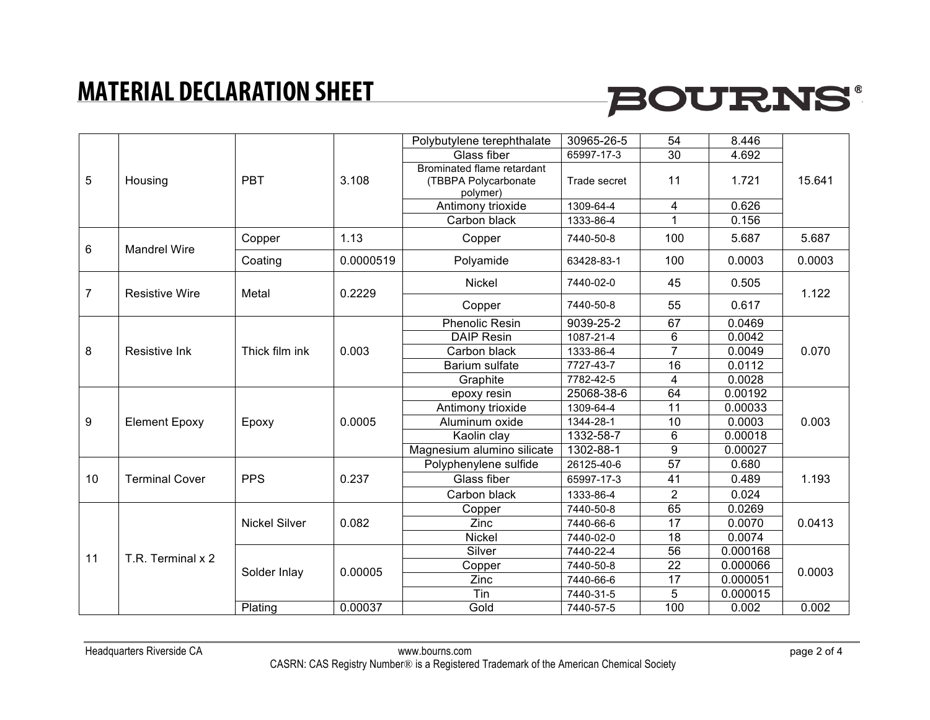## **BOURNS®**

| 5  | Housing               | <b>PBT</b>           | 3.108     | Polybutylene terephthalate                                     | 30965-26-5   | 54              | 8.446    | 15.641 |
|----|-----------------------|----------------------|-----------|----------------------------------------------------------------|--------------|-----------------|----------|--------|
|    |                       |                      |           | Glass fiber                                                    | 65997-17-3   | 30              | 4.692    |        |
|    |                       |                      |           | Brominated flame retardant<br>(TBBPA Polycarbonate<br>polymer) | Trade secret | 11              | 1.721    |        |
|    |                       |                      |           | Antimony trioxide                                              | 1309-64-4    | 4               | 0.626    |        |
|    |                       |                      |           | Carbon black                                                   | 1333-86-4    | 1               | 0.156    |        |
| 6  | <b>Mandrel Wire</b>   | Copper               | 1.13      | Copper                                                         | 7440-50-8    | 100             | 5.687    | 5.687  |
|    |                       | Coating              | 0.0000519 | Polyamide                                                      | 63428-83-1   | 100             | 0.0003   | 0.0003 |
| 7  | <b>Resistive Wire</b> | Metal                | 0.2229    | <b>Nickel</b>                                                  | 7440-02-0    | 45              | 0.505    | 1.122  |
|    |                       |                      |           | Copper                                                         | 7440-50-8    | 55              | 0.617    |        |
|    |                       |                      |           | <b>Phenolic Resin</b>                                          | 9039-25-2    | 67              | 0.0469   | 0.070  |
|    |                       | Thick film ink       | 0.003     | DAIP Resin                                                     | 1087-21-4    | 6               | 0.0042   |        |
| 8  | Resistive Ink         |                      |           | Carbon black                                                   | 1333-86-4    | $\overline{7}$  | 0.0049   |        |
|    |                       |                      |           | Barium sulfate                                                 | 7727-43-7    | 16              | 0.0112   |        |
|    |                       |                      |           | Graphite                                                       | 7782-42-5    | 4               | 0.0028   |        |
|    | <b>Element Epoxy</b>  | Epoxy                | 0.0005    | epoxy resin                                                    | 25068-38-6   | 64              | 0.00192  | 0.003  |
|    |                       |                      |           | Antimony trioxide                                              | 1309-64-4    | 11              | 0.00033  |        |
| 9  |                       |                      |           | Aluminum oxide                                                 | 1344-28-1    | 10              | 0.0003   |        |
|    |                       |                      |           | Kaolin clay                                                    | 1332-58-7    | 6               | 0.00018  |        |
|    |                       |                      |           | Magnesium alumino silicate                                     | 1302-88-1    | 9               | 0.00027  |        |
|    |                       | <b>PPS</b>           | 0.237     | Polyphenylene sulfide                                          | 26125-40-6   | 57              | 0.680    | 1.193  |
| 10 | <b>Terminal Cover</b> |                      |           | Glass fiber                                                    | 65997-17-3   | 41              | 0.489    |        |
|    |                       |                      |           | Carbon black                                                   | 1333-86-4    | $\overline{2}$  | 0.024    |        |
|    |                       | <b>Nickel Silver</b> | 0.082     | Copper                                                         | 7440-50-8    | 65              | 0.0269   | 0.0413 |
| 11 | T.R. Terminal x 2     |                      |           | Zinc                                                           | 7440-66-6    | 17              | 0.0070   |        |
|    |                       |                      |           | <b>Nickel</b>                                                  | 7440-02-0    | 18              | 0.0074   |        |
|    |                       | Solder Inlay         | 0.00005   | Silver                                                         | 7440-22-4    | 56              | 0.000168 | 0.0003 |
|    |                       |                      |           | Copper                                                         | 7440-50-8    | $\overline{22}$ | 0.000066 |        |
|    |                       |                      |           | Zinc                                                           | 7440-66-6    | $\overline{17}$ | 0.000051 |        |
|    |                       |                      |           | Tin                                                            | 7440-31-5    | 5               | 0.000015 |        |
|    |                       | Plating              | 0.00037   | Gold                                                           | 7440-57-5    | 100             | 0.002    | 0.002  |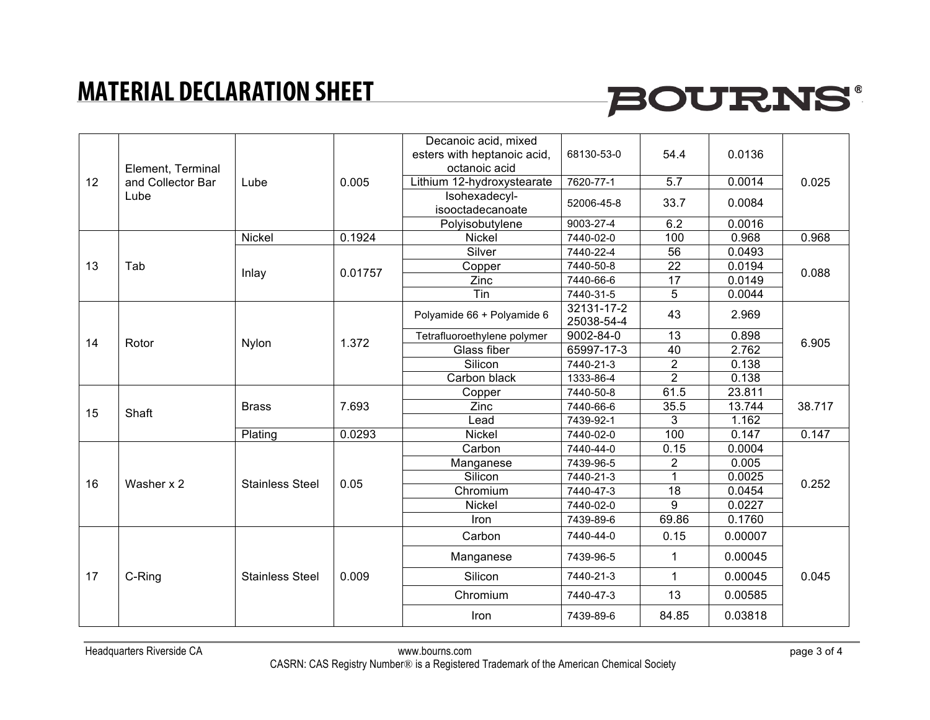## **BOURNS®**

| 12 | Element, Terminal<br>and Collector Bar<br>Lube | Lube                   | 0.005   | Decanoic acid, mixed<br>esters with heptanoic acid, | 68130-53-0               | 54.4           | 0.0136  | 0.025  |
|----|------------------------------------------------|------------------------|---------|-----------------------------------------------------|--------------------------|----------------|---------|--------|
|    |                                                |                        |         | octanoic acid                                       |                          |                |         |        |
|    |                                                |                        |         | Lithium 12-hydroxystearate                          | 7620-77-1                | 5.7            | 0.0014  |        |
|    |                                                |                        |         | Isohexadecyl-<br>isooctadecanoate                   | 52006-45-8               | 33.7           | 0.0084  |        |
|    |                                                |                        |         | Polyisobutylene                                     | 9003-27-4                | 6.2            | 0.0016  |        |
|    |                                                | Nickel                 | 0.1924  | <b>Nickel</b>                                       | 7440-02-0                | 100            | 0.968   | 0.968  |
|    |                                                |                        |         | Silver                                              | 7440-22-4                | 56             | 0.0493  |        |
| 13 | Tab                                            | Inlay                  | 0.01757 | Copper                                              | 7440-50-8                | 22             | 0.0194  | 0.088  |
|    |                                                |                        |         | Zinc                                                | 7440-66-6                | 17             | 0.0149  |        |
|    |                                                |                        |         | $\overline{T}$ in                                   | 7440-31-5                | $\overline{5}$ | 0.0044  |        |
|    |                                                | Nylon                  | 1.372   | Polyamide 66 + Polyamide 6                          | 32131-17-2<br>25038-54-4 | 43             | 2.969   | 6.905  |
| 14 |                                                |                        |         | Tetrafluoroethylene polymer                         | 9002-84-0                | 13             | 0.898   |        |
|    | Rotor                                          |                        |         | Glass fiber                                         | 65997-17-3               | 40             | 2.762   |        |
|    |                                                |                        |         | Silicon                                             | 7440-21-3                | $\overline{2}$ | 0.138   |        |
|    |                                                |                        |         | Carbon black                                        | 1333-86-4                | $\overline{2}$ | 0.138   |        |
|    | Shaft                                          | <b>Brass</b>           | 7.693   | Copper                                              | 7440-50-8                | 61.5           | 23.811  | 38.717 |
| 15 |                                                |                        |         | Zinc                                                | 7440-66-6                | 35.5           | 13.744  |        |
|    |                                                |                        |         | Lead                                                | 7439-92-1                | 3              | 1.162   |        |
|    |                                                | Plating                | 0.0293  | <b>Nickel</b>                                       | 7440-02-0                | 100            | 0.147   | 0.147  |
|    | Washer x 2                                     | <b>Stainless Steel</b> | 0.05    | Carbon                                              | 7440-44-0                | 0.15           | 0.0004  | 0.252  |
|    |                                                |                        |         | Manganese                                           | 7439-96-5                | $\overline{2}$ | 0.005   |        |
| 16 |                                                |                        |         | Silicon                                             | 7440-21-3                |                | 0.0025  |        |
|    |                                                |                        |         | Chromium                                            | 7440-47-3                | 18             | 0.0454  |        |
|    |                                                |                        |         | <b>Nickel</b>                                       | 7440-02-0                | $\overline{9}$ | 0.0227  |        |
|    |                                                |                        |         | Iron                                                | 7439-89-6                | 69.86          | 0.1760  |        |
|    | C-Ring                                         | <b>Stainless Steel</b> | 0.009   | Carbon                                              | 7440-44-0                | 0.15           | 0.00007 | 0.045  |
| 17 |                                                |                        |         | Manganese                                           | 7439-96-5                | 1              | 0.00045 |        |
|    |                                                |                        |         | Silicon                                             | 7440-21-3                | $\mathbf{1}$   | 0.00045 |        |
|    |                                                |                        |         | Chromium                                            | 7440-47-3                | 13             | 0.00585 |        |
|    |                                                |                        |         | Iron                                                | 7439-89-6                | 84.85          | 0.03818 |        |